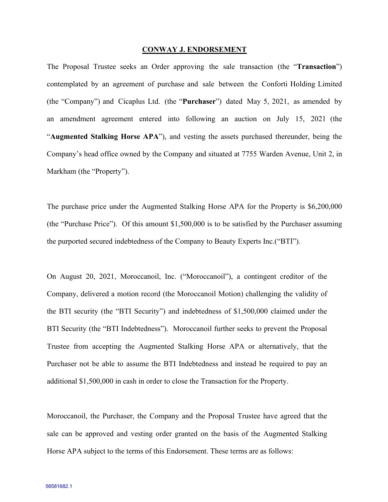## **CONWAY J. ENDORSEMENT**

The Proposal Trustee seeks an Order approving the sale transaction (the "**Transaction**") contemplated by an agreement of purchase and sale between the Conforti Holding Limited (the "Company") and Cicaplus Ltd. (the "**Purchaser**") dated May 5, 2021, as amended by an amendment agreement entered into following an auction on July 15, 2021 (the "**Augmented Stalking Horse APA**"), and vesting the assets purchased thereunder, being the Company's head office owned by the Company and situated at 7755 Warden Avenue, Unit 2, in Markham (the "Property").

The purchase price under the Augmented Stalking Horse APA for the Property is \$6,200,000 (the "Purchase Price"). Of this amount \$1,500,000 is to be satisfied by the Purchaser assuming the purported secured indebtedness of the Company to Beauty Experts Inc.("BTI").

On August 20, 2021, Moroccanoil, Inc. ("Moroccanoil"), a contingent creditor of the Company, delivered a motion record (the Moroccanoil Motion) challenging the validity of the BTI security (the "BTI Security") and indebtedness of \$1,500,000 claimed under the BTI Security (the "BTI Indebtedness"). Moroccanoil further seeks to prevent the Proposal Trustee from accepting the Augmented Stalking Horse APA or alternatively, that the Purchaser not be able to assume the BTI Indebtedness and instead be required to pay an additional \$1,500,000 in cash in order to close the Transaction for the Property.

Moroccanoil, the Purchaser, the Company and the Proposal Trustee have agreed that the sale can be approved and vesting order granted on the basis of the Augmented Stalking Horse APA subject to the terms of this Endorsement. These terms are as follows: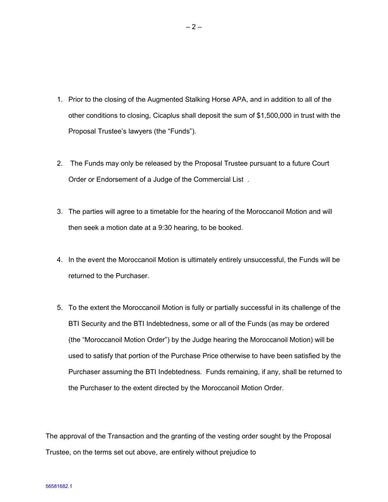- 1. Prior to the closing of the Augmented Stalking Horse APA, and in addition to all of the other conditions to closing, Cicaplus shall deposit the sum of \$1,500,000 in trust with the Proposal Trustee's lawyers (the "Funds").
- 2. The Funds may only be released by the Proposal Trustee pursuant to a future Court Order or Endorsement of a Judge of the Commercial List .
- 3. The parties will agree to a timetable for the hearing of the Moroccanoil Motion and will then seek a motion date at a 9:30 hearing, to be booked.
- 4. In the event the Moroccanoil Motion is ultimately entirely unsuccessful, the Funds will be returned to the Purchaser.
- 5. To the extent the Moroccanoil Motion is fully or partially successful in its challenge of the BTI Security and the BTI Indebtedness, some or all of the Funds (as may be ordered (the "Moroccanoil Motion Order") by the Judge hearing the Moroccanoil Motion) will be used to satisfy that portion of the Purchase Price otherwise to have been satisfied by the Purchaser assuming the BTI Indebtedness. Funds remaining, if any, shall be returned to the Purchaser to the extent directed by the Moroccanoil Motion Order.

The approval of the Transaction and the granting of the vesting order sought by the Proposal Trustee, on the terms set out above, are entirely without prejudice to